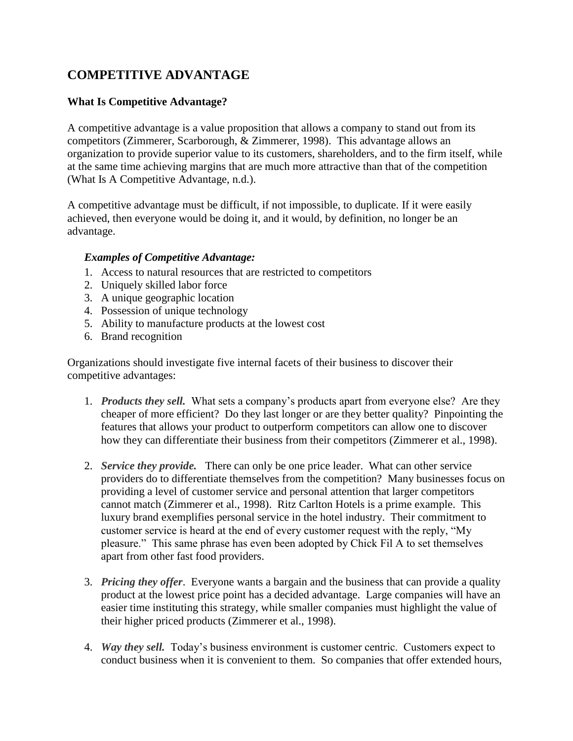# **COMPETITIVE ADVANTAGE**

# **What Is Competitive Advantage?**

A competitive advantage is a value proposition that allows a company to stand out from its competitors (Zimmerer, Scarborough, & Zimmerer, 1998). This advantage allows an organization to provide superior value to its customers, shareholders, and to the firm itself, while at the same time achieving margins that are much more attractive than that of the competition (What Is A Competitive Advantage, n.d.).

A competitive advantage must be difficult, if not impossible, to duplicate. If it were easily achieved, then everyone would be doing it, and it would, by definition, no longer be an advantage.

#### *Examples of Competitive Advantage:*

- 1. Access to natural resources that are restricted to competitors
- 2. Uniquely skilled labor force
- 3. A unique geographic location
- 4. Possession of unique technology
- 5. Ability to manufacture products at the lowest cost
- 6. Brand recognition

Organizations should investigate five internal facets of their business to discover their competitive advantages:

- 1. *Products they sell.* What sets a company's products apart from everyone else? Are they cheaper of more efficient? Do they last longer or are they better quality? Pinpointing the features that allows your product to outperform competitors can allow one to discover how they can differentiate their business from their competitors (Zimmerer et al., 1998).
- 2. *Service they provide.* There can only be one price leader. What can other service providers do to differentiate themselves from the competition? Many businesses focus on providing a level of customer service and personal attention that larger competitors cannot match (Zimmerer et al., 1998). Ritz Carlton Hotels is a prime example. This luxury brand exemplifies personal service in the hotel industry. Their commitment to customer service is heard at the end of every customer request with the reply, "My pleasure." This same phrase has even been adopted by Chick Fil A to set themselves apart from other fast food providers.
- 3. *Pricing they offer*. Everyone wants a bargain and the business that can provide a quality product at the lowest price point has a decided advantage. Large companies will have an easier time instituting this strategy, while smaller companies must highlight the value of their higher priced products (Zimmerer et al., 1998).
- 4. *Way they sell.* Today's business environment is customer centric. Customers expect to conduct business when it is convenient to them. So companies that offer extended hours,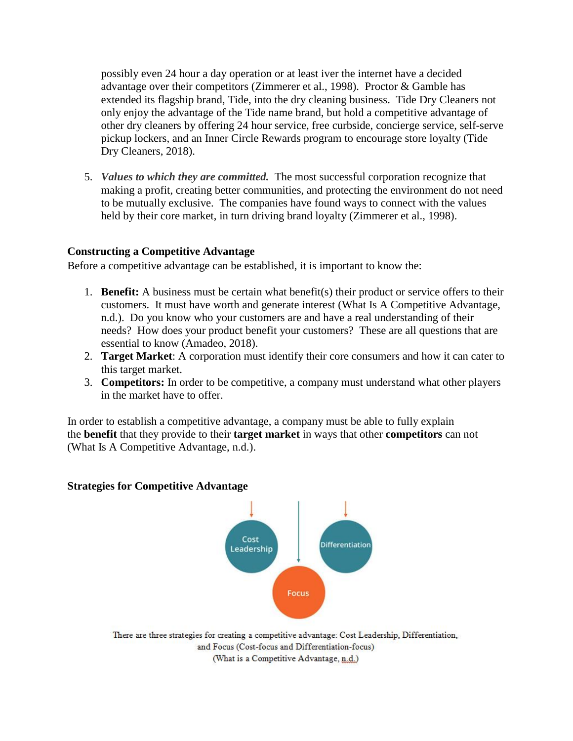possibly even 24 hour a day operation or at least iver the internet have a decided advantage over their competitors (Zimmerer et al., 1998). Proctor & Gamble has extended its flagship brand, Tide, into the dry cleaning business. Tide Dry Cleaners not only enjoy the advantage of the Tide name brand, but hold a competitive advantage of other dry cleaners by offering 24 hour service, free curbside, concierge service, self-serve pickup lockers, and an Inner Circle Rewards program to encourage store loyalty (Tide Dry Cleaners, 2018).

5. *Values to which they are committed.*The most successful corporation recognize that making a profit, creating better communities, and protecting the environment do not need to be mutually exclusive. The companies have found ways to connect with the values held by their core market, in turn driving brand loyalty (Zimmerer et al., 1998).

#### **Constructing a Competitive Advantage**

Before a competitive advantage can be established, it is important to know the:

- 1. **Benefit:** A business must be certain what benefit(s) their product or service offers to their customers. It must have worth and generate interest (What Is A Competitive Advantage, n.d.). Do you know who your customers are and have a real understanding of their needs? How does your product benefit your customers? These are all questions that are essential to know (Amadeo, 2018).
- 2. **Target Market**: A corporation must identify their core consumers and how it can cater to this target market.
- 3. **Competitors:** In order to be competitive, a company must understand what other players in the market have to offer.

In order to establish a competitive advantage, a company must be able to fully explain the **benefit** that they provide to their **target market** in ways that other **competitors** can not (What Is A Competitive Advantage, n.d.).

#### **Strategies for Competitive Advantage**



There are three strategies for creating a competitive advantage: Cost Leadership, Differentiation, and Focus (Cost-focus and Differentiation-focus) (What is a Competitive Advantage, n.d.)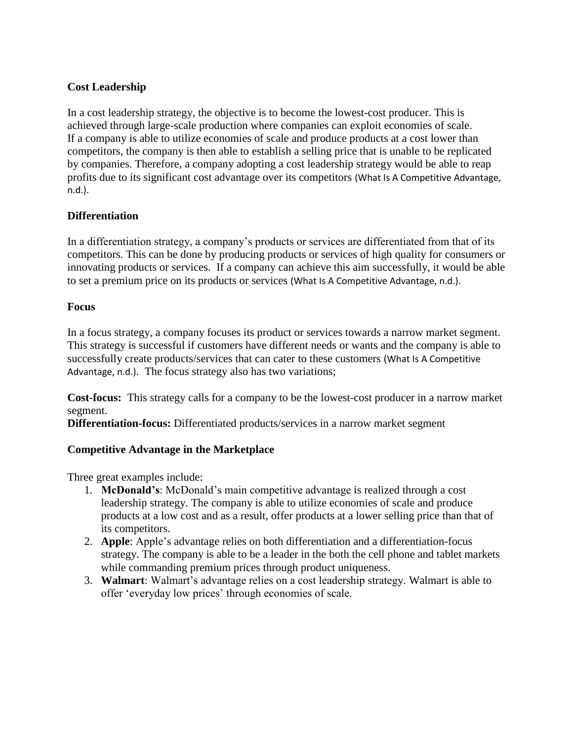# **Cost Leadership**

In a cost leadership strategy, the objective is to become the lowest-cost producer. This is achieved through large-scale production where companies can exploit economies of scale. If a company is able to utilize economies of scale and produce products at a cost lower than competitors, the company is then able to establish a selling price that is unable to be replicated by companies. Therefore, a company adopting a cost leadership strategy would be able to reap profits due to its significant cost advantage over its competitors (What Is A Competitive Advantage, n.d.).

### **Differentiation**

In a differentiation strategy, a company's products or services are differentiated from that of its competitors. This can be done by producing products or services of high quality for consumers or innovating products or services. If a company can achieve this aim successfully, it would be able to set a premium price on its products or services (What Is A Competitive Advantage, n.d.).

#### **Focus**

In a focus strategy, a company focuses its product or services towards a narrow market segment. This strategy is successful if customers have different needs or wants and the company is able to successfully create products/services that can cater to these customers (What Is A Competitive Advantage, n.d.). The focus strategy also has two variations;

**Cost-focus:** This strategy calls for a company to be the lowest-cost producer in a narrow market segment.

**Differentiation-focus:** Differentiated products/services in a narrow market segment

### **Competitive Advantage in the Marketplace**

Three great examples include:

- 1. **McDonald's**: McDonald's main competitive advantage is realized through a cost leadership strategy. The company is able to utilize economies of scale and produce products at a low cost and as a result, offer products at a lower selling price than that of its competitors.
- 2. **Apple**: Apple's advantage relies on both differentiation and a differentiation-focus strategy. The company is able to be a leader in the both the cell phone and tablet markets while commanding premium prices through product uniqueness.
- 3. **Walmart**: Walmart's advantage relies on a cost leadership strategy. Walmart is able to offer 'everyday low prices' through economies of scale.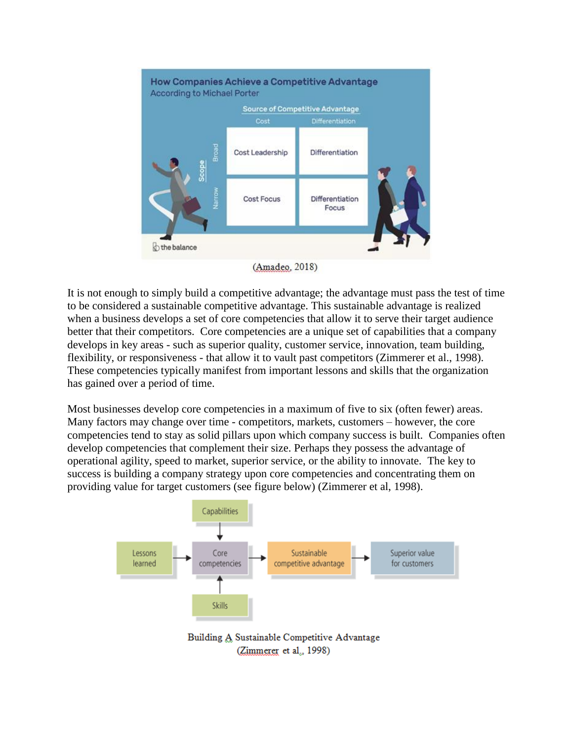

(Amadeo, 2018)

It is not enough to simply build a competitive advantage; the advantage must pass the test of time to be considered a sustainable competitive advantage. This sustainable advantage is realized when a business develops a set of core competencies that allow it to serve their target audience better that their competitors. Core competencies are a unique set of capabilities that a company develops in key areas - such as superior quality, customer service, innovation, team building, flexibility, or responsiveness - that allow it to vault past competitors (Zimmerer et al., 1998). These competencies typically manifest from important lessons and skills that the organization has gained over a period of time.

Most businesses develop core competencies in a maximum of five to six (often fewer) areas. Many factors may change over time - competitors, markets, customers – however, the core competencies tend to stay as solid pillars upon which company success is built. Companies often develop competencies that complement their size. Perhaps they possess the advantage of operational agility, speed to market, superior service, or the ability to innovate. The key to success is building a company strategy upon core competencies and concentrating them on providing value for target customers (see figure below) (Zimmerer et al, 1998).